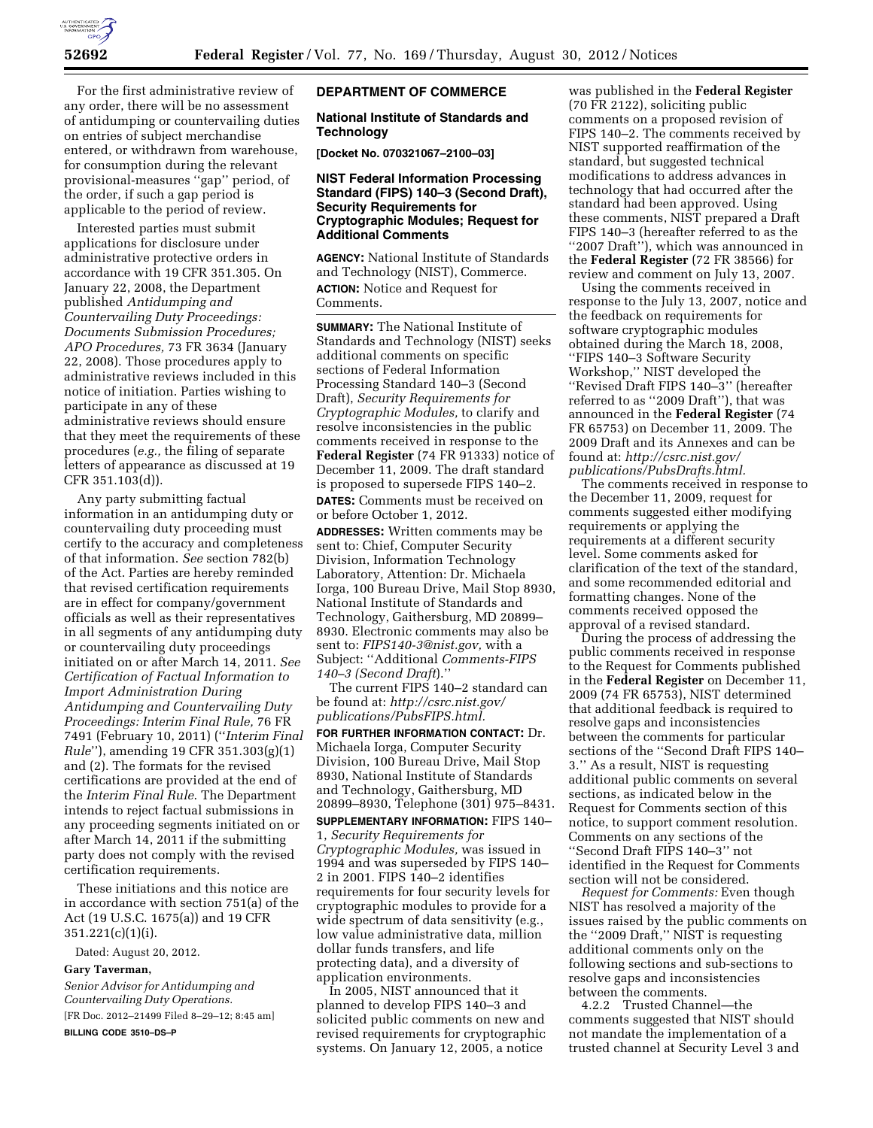For the first administrative review of any order, there will be no assessment of antidumping or countervailing duties on entries of subject merchandise entered, or withdrawn from warehouse, for consumption during the relevant provisional-measures ''gap'' period, of the order, if such a gap period is applicable to the period of review.

Interested parties must submit applications for disclosure under administrative protective orders in accordance with 19 CFR 351.305. On January 22, 2008, the Department published *Antidumping and Countervailing Duty Proceedings: Documents Submission Procedures; APO Procedures,* 73 FR 3634 (January 22, 2008). Those procedures apply to administrative reviews included in this notice of initiation. Parties wishing to participate in any of these administrative reviews should ensure that they meet the requirements of these procedures (*e.g.,* the filing of separate letters of appearance as discussed at 19 CFR 351.103(d)).

Any party submitting factual information in an antidumping duty or countervailing duty proceeding must certify to the accuracy and completeness of that information. *See* section 782(b) of the Act. Parties are hereby reminded that revised certification requirements are in effect for company/government officials as well as their representatives in all segments of any antidumping duty or countervailing duty proceedings initiated on or after March 14, 2011. *See Certification of Factual Information to Import Administration During Antidumping and Countervailing Duty Proceedings: Interim Final Rule,* 76 FR 7491 (February 10, 2011) (''*Interim Final Rule*''), amending 19 CFR 351.303(g)(1) and (2). The formats for the revised certifications are provided at the end of the *Interim Final Rule*. The Department intends to reject factual submissions in any proceeding segments initiated on or after March 14, 2011 if the submitting party does not comply with the revised certification requirements.

These initiations and this notice are in accordance with section 751(a) of the Act (19 U.S.C. 1675(a)) and 19 CFR 351.221(c)(1)(i).

Dated: August 20, 2012.

#### **Gary Taverman,**

*Senior Advisor for Antidumping and Countervailing Duty Operations.*  [FR Doc. 2012–21499 Filed 8–29–12; 8:45 am]

**BILLING CODE 3510–DS–P** 

#### **DEPARTMENT OF COMMERCE**

#### **National Institute of Standards and Technology**

**[Docket No. 070321067–2100–03]** 

## **NIST Federal Information Processing Standard (FIPS) 140–3 (Second Draft), Security Requirements for Cryptographic Modules; Request for Additional Comments**

**AGENCY:** National Institute of Standards and Technology (NIST), Commerce. **ACTION:** Notice and Request for Comments.

**SUMMARY:** The National Institute of Standards and Technology (NIST) seeks additional comments on specific sections of Federal Information Processing Standard 140–3 (Second Draft), *Security Requirements for Cryptographic Modules,* to clarify and resolve inconsistencies in the public comments received in response to the **Federal Register** (74 FR 91333) notice of December 11, 2009. The draft standard is proposed to supersede FIPS 140–2.

**DATES:** Comments must be received on or before October 1, 2012.

**ADDRESSES:** Written comments may be sent to: Chief, Computer Security Division, Information Technology Laboratory, Attention: Dr. Michaela Iorga, 100 Bureau Drive, Mail Stop 8930, National Institute of Standards and Technology, Gaithersburg, MD 20899– 8930. Electronic comments may also be sent to: *[FIPS140-3@nist.gov,](mailto:FIPS140-3@nist.gov)* with a Subject: ''Additional *Comments-FIPS 140–3 (Second Draft*).''

The current FIPS 140–2 standard can be found at: *[http://csrc.nist.gov/](http://csrc.nist.gov/publications/PubsFIPS.html) [publications/PubsFIPS.html.](http://csrc.nist.gov/publications/PubsFIPS.html)* 

**FOR FURTHER INFORMATION CONTACT:** Dr. Michaela Iorga, Computer Security Division, 100 Bureau Drive, Mail Stop 8930, National Institute of Standards and Technology, Gaithersburg, MD 20899–8930, Telephone (301) 975–8431. **SUPPLEMENTARY INFORMATION:** FIPS 140– 1, *Security Requirements for Cryptographic Modules,* was issued in 1994 and was superseded by FIPS 140– 2 in 2001. FIPS 140–2 identifies requirements for four security levels for cryptographic modules to provide for a wide spectrum of data sensitivity (e.g., low value administrative data, million dollar funds transfers, and life protecting data), and a diversity of application environments.

In 2005, NIST announced that it planned to develop FIPS 140–3 and solicited public comments on new and revised requirements for cryptographic systems. On January 12, 2005, a notice

was published in the **Federal Register**  (70 FR 2122), soliciting public comments on a proposed revision of FIPS 140–2. The comments received by NIST supported reaffirmation of the standard, but suggested technical modifications to address advances in technology that had occurred after the standard had been approved. Using these comments, NIST prepared a Draft FIPS 140–3 (hereafter referred to as the ''2007 Draft''), which was announced in the **Federal Register** (72 FR 38566) for review and comment on July 13, 2007.

Using the comments received in response to the July 13, 2007, notice and the feedback on requirements for software cryptographic modules obtained during the March 18, 2008, ''FIPS 140–3 Software Security Workshop,'' NIST developed the ''Revised Draft FIPS 140–3'' (hereafter referred to as ''2009 Draft''), that was announced in the **Federal Register** (74 FR 65753) on December 11, 2009. The 2009 Draft and its Annexes and can be found at: *[http://csrc.nist.gov/](http://csrc.nist.gov/publications/PubsDrafts.html) [publications/PubsDrafts.html.](http://csrc.nist.gov/publications/PubsDrafts.html)* 

The comments received in response to the December 11, 2009, request for comments suggested either modifying requirements or applying the requirements at a different security level. Some comments asked for clarification of the text of the standard, and some recommended editorial and formatting changes. None of the comments received opposed the approval of a revised standard.

During the process of addressing the public comments received in response to the Request for Comments published in the **Federal Register** on December 11, 2009 (74 FR 65753), NIST determined that additional feedback is required to resolve gaps and inconsistencies between the comments for particular sections of the ''Second Draft FIPS 140– 3.'' As a result, NIST is requesting additional public comments on several sections, as indicated below in the Request for Comments section of this notice, to support comment resolution. Comments on any sections of the ''Second Draft FIPS 140–3'' not identified in the Request for Comments section will not be considered.

*Request for Comments:* Even though NIST has resolved a majority of the issues raised by the public comments on the ''2009 Draft,'' NIST is requesting additional comments only on the following sections and sub-sections to resolve gaps and inconsistencies between the comments.

4.2.2 Trusted Channel—the comments suggested that NIST should not mandate the implementation of a trusted channel at Security Level 3 and